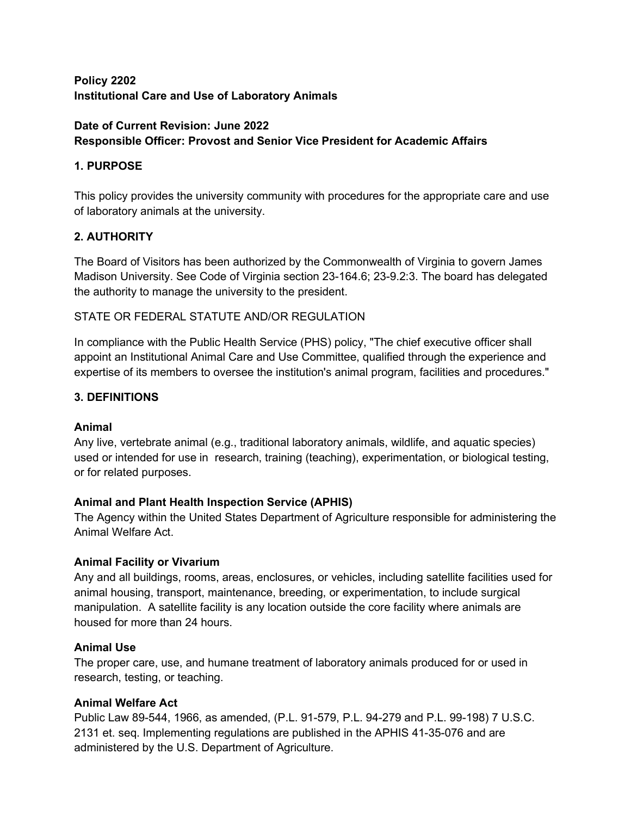# **Policy 2202 Institutional Care and Use of Laboratory Animals**

# **Date of Current Revision: June 2022 Responsible Officer: Provost and Senior Vice President for Academic Affairs**

# **1. PURPOSE**

This policy provides the university community with procedures for the appropriate care and use of laboratory animals at the university.

## **2. AUTHORITY**

The Board of Visitors has been authorized by the Commonwealth of Virginia to govern James Madison University. See Code of Virginia section 23-164.6; 23-9.2:3. The board has delegated the authority to manage the university to the president.

## STATE OR FEDERAL STATUTE AND/OR REGULATION

In compliance with the Public Health Service (PHS) policy, "The chief executive officer shall appoint an Institutional Animal Care and Use Committee, qualified through the experience and expertise of its members to oversee the institution's animal program, facilities and procedures."

## **3. DEFINITIONS**

#### **Animal**

Any live, vertebrate animal (e.g., traditional laboratory animals, wildlife, and aquatic species) used or intended for use in research, training (teaching), experimentation, or biological testing, or for related purposes.

# **Animal and Plant Health Inspection Service (APHIS)**

The Agency within the United States Department of Agriculture responsible for administering the Animal Welfare Act.

#### **Animal Facility or Vivarium**

Any and all buildings, rooms, areas, enclosures, or vehicles, including satellite facilities used for animal housing, transport, maintenance, breeding, or experimentation, to include surgical manipulation. A satellite facility is any location outside the core facility where animals are housed for more than 24 hours.

#### **Animal Use**

The proper care, use, and humane treatment of laboratory animals produced for or used in research, testing, or teaching.

#### **Animal Welfare Act**

Public Law 89-544, 1966, as amended, (P.L. 91-579, P.L. 94-279 and P.L. 99-198) 7 U.S.C. 2131 et. seq. Implementing regulations are published in the APHIS 41-35-076 and are administered by the U.S. Department of Agriculture.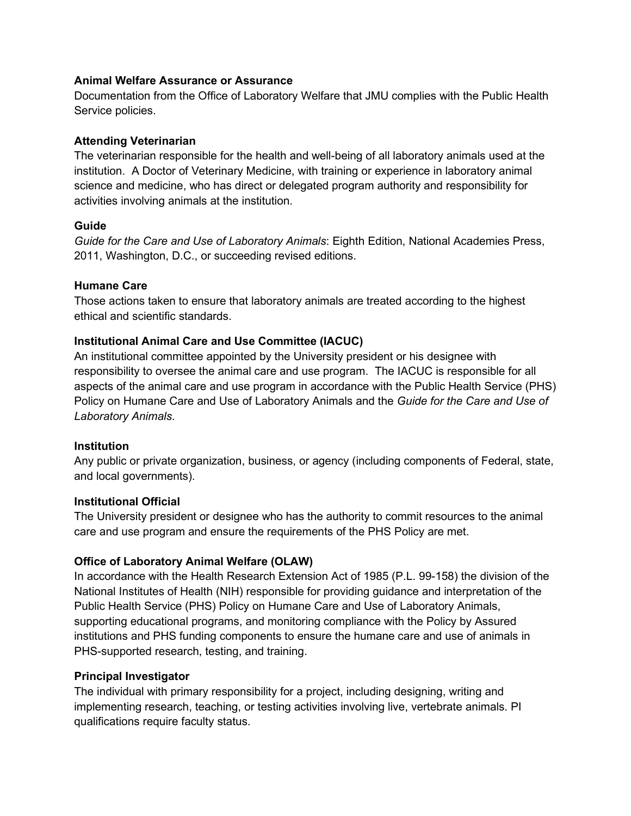### **Animal Welfare Assurance or Assurance**

Documentation from the Office of Laboratory Welfare that JMU complies with the Public Health Service policies.

## **Attending Veterinarian**

The veterinarian responsible for the health and well-being of all laboratory animals used at the institution. A Doctor of Veterinary Medicine, with training or experience in laboratory animal science and medicine, who has direct or delegated program authority and responsibility for activities involving animals at the institution.

## **Guide**

*Guide for the Care and Use of Laboratory Animals*: Eighth Edition, National Academies Press, 2011, Washington, D.C., or succeeding revised editions.

## **Humane Care**

Those actions taken to ensure that laboratory animals are treated according to the highest ethical and scientific standards.

## **Institutional Animal Care and Use Committee (IACUC)**

An institutional committee appointed by the University president or his designee with responsibility to oversee the animal care and use program. The IACUC is responsible for all aspects of the animal care and use program in accordance with the Public Health Service (PHS) Policy on Humane Care and Use of Laboratory Animals and the *Guide for the Care and Use of Laboratory Animals*.

#### **Institution**

Any public or private organization, business, or agency (including components of Federal, state, and local governments).

#### **Institutional Official**

The University president or designee who has the authority to commit resources to the animal care and use program and ensure the requirements of the PHS Policy are met.

# **Office of Laboratory Animal Welfare (OLAW)**

In accordance with the Health Research Extension Act of 1985 (P.L. 99-158) the division of the National Institutes of Health (NIH) responsible for providing guidance and interpretation of the Public Health Service (PHS) Policy on Humane Care and Use of Laboratory Animals, supporting educational programs, and monitoring compliance with the Policy by Assured institutions and PHS funding components to ensure the humane care and use of animals in PHS-supported research, testing, and training.

# **Principal Investigator**

The individual with primary responsibility for a project, including designing, writing and implementing research, teaching, or testing activities involving live, vertebrate animals. PI qualifications require faculty status.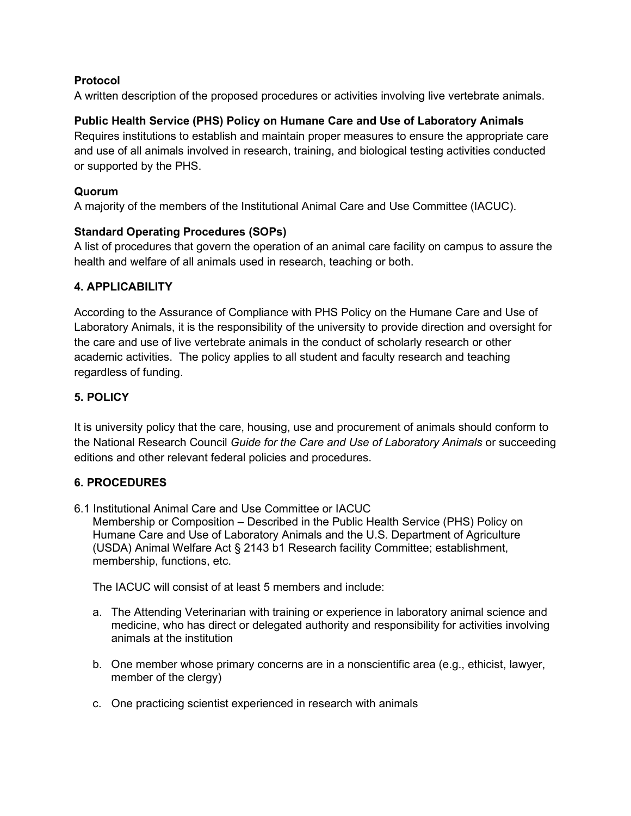## **Protocol**

A written description of the proposed procedures or activities involving live vertebrate animals.

## **Public Health Service (PHS) Policy on Humane Care and Use of Laboratory Animals**

Requires institutions to establish and maintain proper measures to ensure the appropriate care and use of all animals involved in research, training, and biological testing activities conducted or supported by the PHS.

### **Quorum**

A majority of the members of the Institutional Animal Care and Use Committee (IACUC).

## **Standard Operating Procedures (SOPs)**

A list of procedures that govern the operation of an animal care facility on campus to assure the health and welfare of all animals used in research, teaching or both.

## **4. APPLICABILITY**

According to the Assurance of Compliance with PHS Policy on the Humane Care and Use of Laboratory Animals, it is the responsibility of the university to provide direction and oversight for the care and use of live vertebrate animals in the conduct of scholarly research or other academic activities. The policy applies to all student and faculty research and teaching regardless of funding.

# **5. POLICY**

It is university policy that the care, housing, use and procurement of animals should conform to the National Research Council *Guide for the Care and Use of Laboratory Animals* or succeeding editions and other relevant federal policies and procedures.

#### **6. PROCEDURES**

6.1 Institutional Animal Care and Use Committee or IACUC

Membership or Composition – Described in the Public Health Service (PHS) Policy on Humane Care and Use of Laboratory Animals and the U.S. Department of Agriculture (USDA) Animal Welfare Act § 2143 b1 Research facility Committee; establishment, membership, functions, etc.

The IACUC will consist of at least 5 members and include:

- a. The Attending Veterinarian with training or experience in laboratory animal science and medicine, who has direct or delegated authority and responsibility for activities involving animals at the institution
- b. One member whose primary concerns are in a nonscientific area (e.g., ethicist, lawyer, member of the clergy)
- c. One practicing scientist experienced in research with animals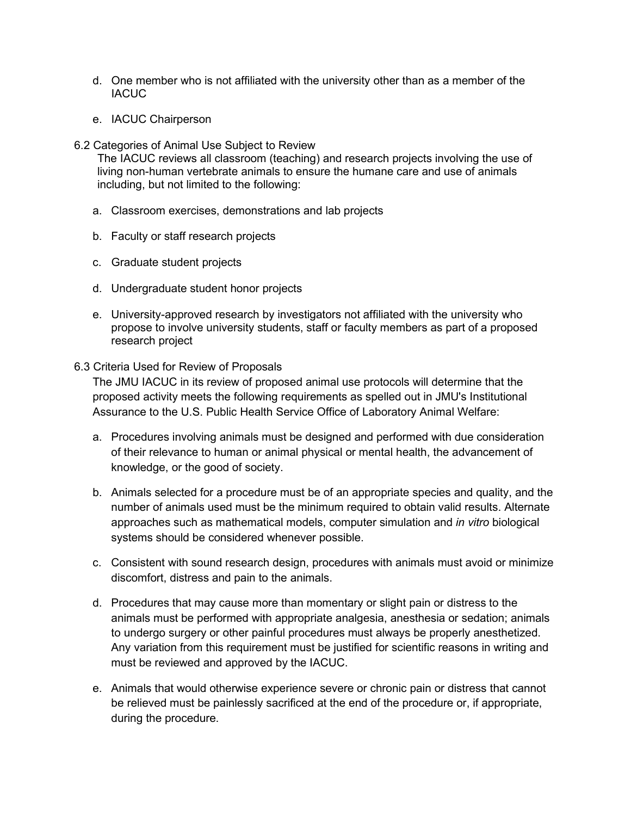- d. One member who is not affiliated with the university other than as a member of the **IACUC**
- e. IACUC Chairperson
- 6.2 Categories of Animal Use Subject to Review

The IACUC reviews all classroom (teaching) and research projects involving the use of living non-human vertebrate animals to ensure the humane care and use of animals including, but not limited to the following:

- a. Classroom exercises, demonstrations and lab projects
- b. Faculty or staff research projects
- c. Graduate student projects
- d. Undergraduate student honor projects
- e. University-approved research by investigators not affiliated with the university who propose to involve university students, staff or faculty members as part of a proposed research project

#### 6.3 Criteria Used for Review of Proposals

The JMU IACUC in its review of proposed animal use protocols will determine that the proposed activity meets the following requirements as spelled out in JMU's Institutional Assurance to the U.S. Public Health Service Office of Laboratory Animal Welfare:

- a. Procedures involving animals must be designed and performed with due consideration of their relevance to human or animal physical or mental health, the advancement of knowledge, or the good of society.
- b. Animals selected for a procedure must be of an appropriate species and quality, and the number of animals used must be the minimum required to obtain valid results. Alternate approaches such as mathematical models, computer simulation and *in vitro* biological systems should be considered whenever possible.
- c. Consistent with sound research design, procedures with animals must avoid or minimize discomfort, distress and pain to the animals.
- d. Procedures that may cause more than momentary or slight pain or distress to the animals must be performed with appropriate analgesia, anesthesia or sedation; animals to undergo surgery or other painful procedures must always be properly anesthetized. Any variation from this requirement must be justified for scientific reasons in writing and must be reviewed and approved by the IACUC.
- e. Animals that would otherwise experience severe or chronic pain or distress that cannot be relieved must be painlessly sacrificed at the end of the procedure or, if appropriate, during the procedure.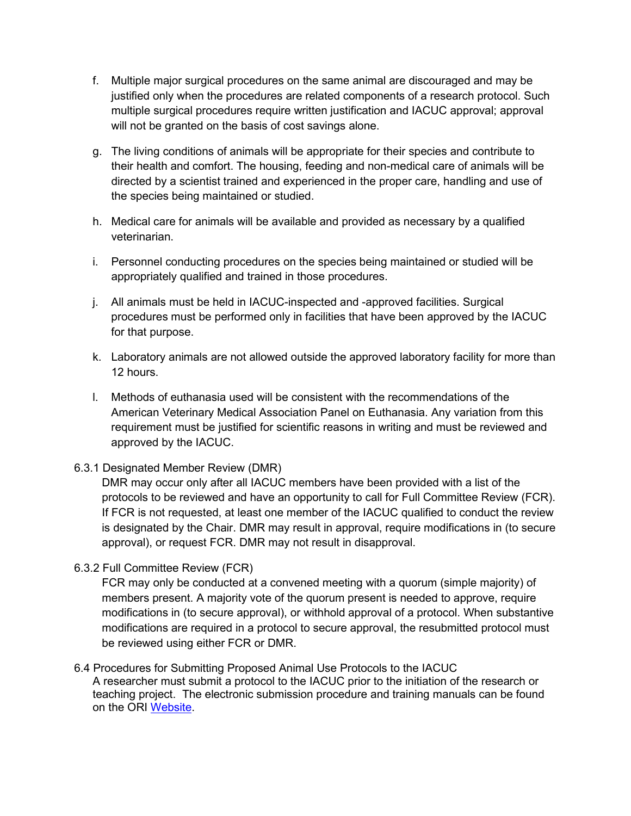- f. Multiple major surgical procedures on the same animal are discouraged and may be justified only when the procedures are related components of a research protocol. Such multiple surgical procedures require written justification and IACUC approval; approval will not be granted on the basis of cost savings alone.
- g. The living conditions of animals will be appropriate for their species and contribute to their health and comfort. The housing, feeding and non-medical care of animals will be directed by a scientist trained and experienced in the proper care, handling and use of the species being maintained or studied.
- h. Medical care for animals will be available and provided as necessary by a qualified veterinarian.
- i. Personnel conducting procedures on the species being maintained or studied will be appropriately qualified and trained in those procedures.
- j. All animals must be held in IACUC-inspected and -approved facilities. Surgical procedures must be performed only in facilities that have been approved by the IACUC for that purpose.
- k. Laboratory animals are not allowed outside the approved laboratory facility for more than 12 hours.
- l. Methods of euthanasia used will be consistent with the recommendations of the American Veterinary Medical Association Panel on Euthanasia. Any variation from this requirement must be justified for scientific reasons in writing and must be reviewed and approved by the IACUC.

# 6.3.1 Designated Member Review (DMR)

DMR may occur only after all IACUC members have been provided with a list of the protocols to be reviewed and have an opportunity to call for Full Committee Review (FCR). If FCR is not requested, at least one member of the IACUC qualified to conduct the review is designated by the Chair. DMR may result in approval, require modifications in (to secure approval), or request FCR. DMR may not result in disapproval.

6.3.2 Full Committee Review (FCR)

FCR may only be conducted at a convened meeting with a quorum (simple majority) of members present. A majority vote of the quorum present is needed to approve, require modifications in (to secure approval), or withhold approval of a protocol. When substantive modifications are required in a protocol to secure approval, the resubmitted protocol must be reviewed using either FCR or DMR.

#### 6.4 Procedures for Submitting Proposed Animal Use Protocols to the IACUC A researcher must submit a protocol to the IACUC prior to the initiation of the research or teaching project. The electronic submission procedure and training manuals can be found on the [ORI Website.](https://www.jmu.edu/researchintegrity/iacuc/iacucsubmit.shtml)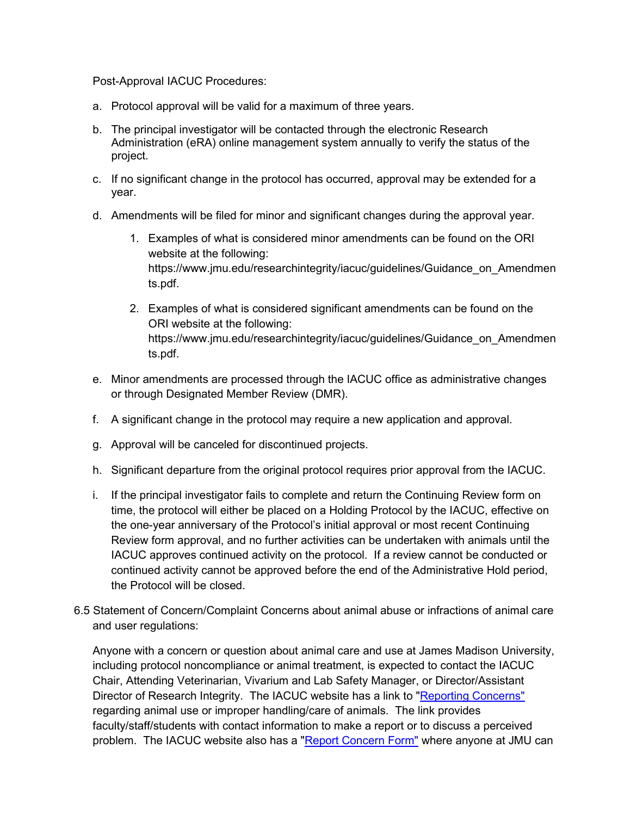Post-Approval IACUC Procedures:

- a. Protocol approval will be valid for a maximum of three years.
- b. The principal investigator will be contacted through the electronic Research Administration (eRA) online management system annually to verify the status of the project.
- c. If no significant change in the protocol has occurred, approval may be extended for a year.
- d. Amendments will be filed for minor and significant changes during the approval year.
	- 1. Examples of what is considered minor amendments can be found on the ORI website at the following: [https://www.jmu.edu/researchintegrity/iacuc/guidelines/Guidance\\_on\\_Amendmen](https://www.jmu.edu/researchintegrity/iacuc/guidelines/Guidance_on_Amendments.pdf) [ts.pdf.](https://www.jmu.edu/researchintegrity/iacuc/guidelines/Guidance_on_Amendments.pdf)
	- 2. Examples of what is considered significant amendments can be found on the ORI website at the following: [https://www.jmu.edu/researchintegrity/iacuc/guidelines/Guidance\\_on\\_Amendmen](https://www.jmu.edu/researchintegrity/iacuc/guidelines/Guidance_on_Amendments.pdf) [ts.pdf.](https://www.jmu.edu/researchintegrity/iacuc/guidelines/Guidance_on_Amendments.pdf)
- e. Minor amendments are processed through the IACUC office as administrative changes or through Designated Member Review (DMR).
- f. A significant change in the protocol may require a new application and approval.
- g. Approval will be canceled for discontinued projects.
- h. Significant departure from the original protocol requires prior approval from the IACUC.
- i. If the principal investigator fails to complete and return the Continuing Review form on time, the protocol will either be placed on a Holding Protocol by the IACUC, effective on the one-year anniversary of the Protocol's initial approval or most recent Continuing Review form approval, and no further activities can be undertaken with animals until the IACUC approves continued activity on the protocol. If a review cannot be conducted or continued activity cannot be approved before the end of the Administrative Hold period, the Protocol will be closed.
- 6.5 Statement of Concern/Complaint Concerns about animal abuse or infractions of animal care and user regulations:

Anyone with a concern or question about animal care and use at James Madison University, including protocol noncompliance or animal treatment, is expected to contact the IACUC Chair, Attending Veterinarian, Vivarium and Lab Safety Manager, or Director/Assistant Director of Research Integrity. The IACUC website has a link to ["Reporting Concerns"](https://www.jmu.edu/researchintegrity/iacuc/iacucconcerns.shtml) regarding animal use or improper handling/care of animals. The link provides faculty/staff/students with contact information to make a report or to discuss a perceived problem. The IACUC website also has a ["Report Concern Form"](https://www.jmu.edu/researchintegrity/iacuc/concern/index.shtml) where anyone at JMU can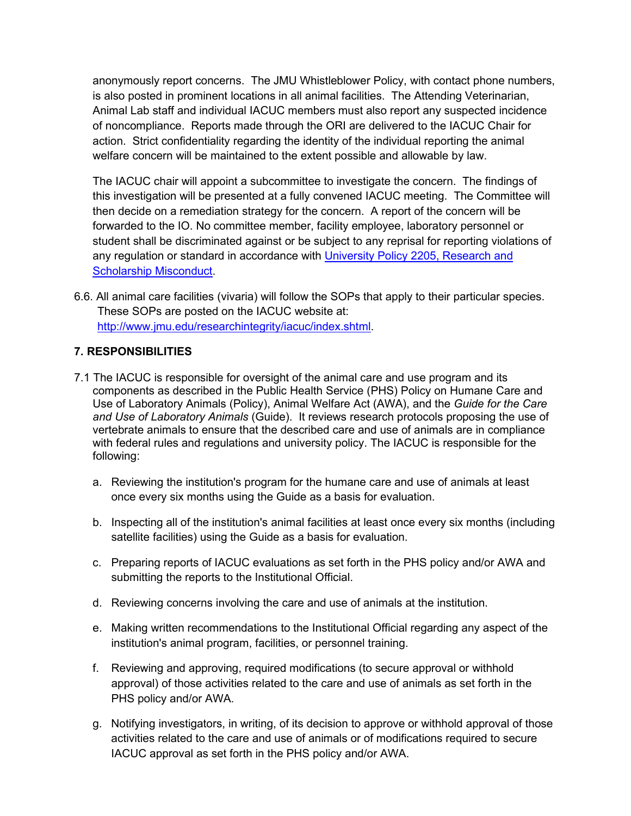anonymously report concerns. The JMU Whistleblower Policy, with contact phone numbers, is also posted in prominent locations in all animal facilities. The Attending Veterinarian, Animal Lab staff and individual IACUC members must also report any suspected incidence of noncompliance. Reports made through the ORI are delivered to the IACUC Chair for action. Strict confidentiality regarding the identity of the individual reporting the animal welfare concern will be maintained to the extent possible and allowable by law.

The IACUC chair will appoint a subcommittee to investigate the concern. The findings of this investigation will be presented at a fully convened IACUC meeting. The Committee will then decide on a remediation strategy for the concern. A report of the concern will be forwarded to the IO. No committee member, facility employee, laboratory personnel or student shall be discriminated against or be subject to any reprisal for reporting violations of any regulation or standard in accordance with [University Policy 2205, Research and](https://www.jmu.edu/JMUpolicy/policies/2205.shtml)  [Scholarship Misconduct.](https://www.jmu.edu/JMUpolicy/policies/2205.shtml)

6.6. All animal care facilities (vivaria) will follow the SOPs that apply to their particular species. These SOPs are posted on the IACUC website at: [http://www.jmu.edu/researchintegrity/iacuc/index.shtml.](https://www.jmu.edu/researchintegrity/iacuc/index.shtml)

# **7. RESPONSIBILITIES**

- 7.1 The IACUC is responsible for oversight of the animal care and use program and its components as described in the Public Health Service (PHS) Policy on Humane Care and Use of Laboratory Animals (Policy), Animal Welfare Act (AWA), and the *Guide for the Care and Use of Laboratory Animals* (Guide). It reviews research protocols proposing the use of vertebrate animals to ensure that the described care and use of animals are in compliance with federal rules and regulations and university policy. The IACUC is responsible for the following:
	- a. Reviewing the institution's program for the humane care and use of animals at least once every six months using the Guide as a basis for evaluation.
	- b. Inspecting all of the institution's animal facilities at least once every six months (including satellite facilities) using the Guide as a basis for evaluation.
	- c. Preparing reports of IACUC evaluations as set forth in the PHS policy and/or AWA and submitting the reports to the Institutional Official.
	- d. Reviewing concerns involving the care and use of animals at the institution.
	- e. Making written recommendations to the Institutional Official regarding any aspect of the institution's animal program, facilities, or personnel training.
	- f. Reviewing and approving, required modifications (to secure approval or withhold approval) of those activities related to the care and use of animals as set forth in the PHS policy and/or AWA.
	- g. Notifying investigators, in writing, of its decision to approve or withhold approval of those activities related to the care and use of animals or of modifications required to secure IACUC approval as set forth in the PHS policy and/or AWA.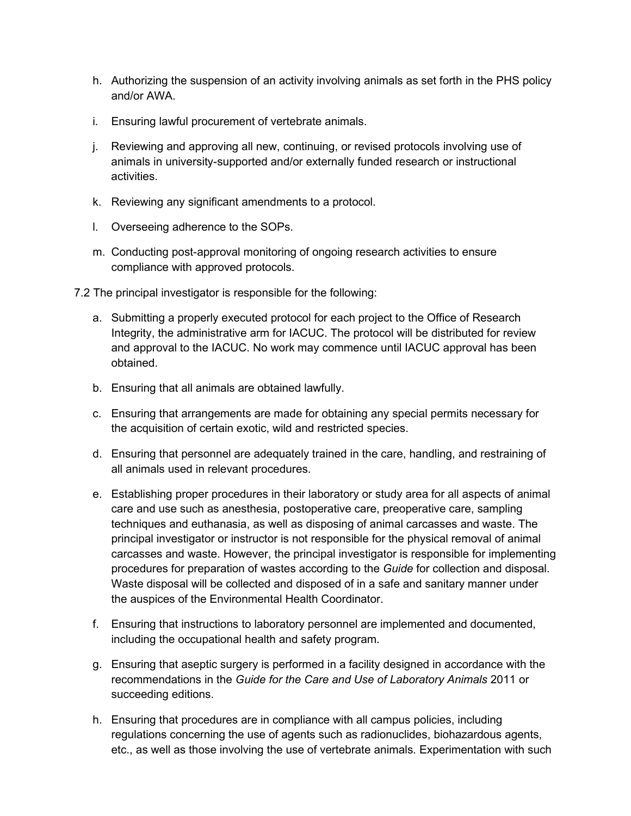- h. Authorizing the suspension of an activity involving animals as set forth in the PHS policy and/or AWA.
- i. Ensuring lawful procurement of vertebrate animals.
- j. Reviewing and approving all new, continuing, or revised protocols involving use of animals in university-supported and/or externally funded research or instructional activities.
- k. Reviewing any significant amendments to a protocol.
- l. Overseeing adherence to the SOPs.
- m. Conducting post-approval monitoring of ongoing research activities to ensure compliance with approved protocols.
- 7.2 The principal investigator is responsible for the following:
	- a. Submitting a properly executed protocol for each project to the Office of Research Integrity, the administrative arm for IACUC. The protocol will be distributed for review and approval to the IACUC. No work may commence until IACUC approval has been obtained.
	- b. Ensuring that all animals are obtained lawfully.
	- c. Ensuring that arrangements are made for obtaining any special permits necessary for the acquisition of certain exotic, wild and restricted species.
	- d. Ensuring that personnel are adequately trained in the care, handling, and restraining of all animals used in relevant procedures.
	- e. Establishing proper procedures in their laboratory or study area for all aspects of animal care and use such as anesthesia, postoperative care, preoperative care, sampling techniques and euthanasia, as well as disposing of animal carcasses and waste. The principal investigator or instructor is not responsible for the physical removal of animal carcasses and waste. However, the principal investigator is responsible for implementing procedures for preparation of wastes according to the *Guide* for collection and disposal. Waste disposal will be collected and disposed of in a safe and sanitary manner under the auspices of the Environmental Health Coordinator.
	- f. Ensuring that instructions to laboratory personnel are implemented and documented, including the occupational health and safety program.
	- g. Ensuring that aseptic surgery is performed in a facility designed in accordance with the recommendations in the *Guide for the Care and Use of Laboratory Animals* 2011 or succeeding editions.
	- h. Ensuring that procedures are in compliance with all campus policies, including regulations concerning the use of agents such as radionuclides, biohazardous agents, etc., as well as those involving the use of vertebrate animals. Experimentation with such